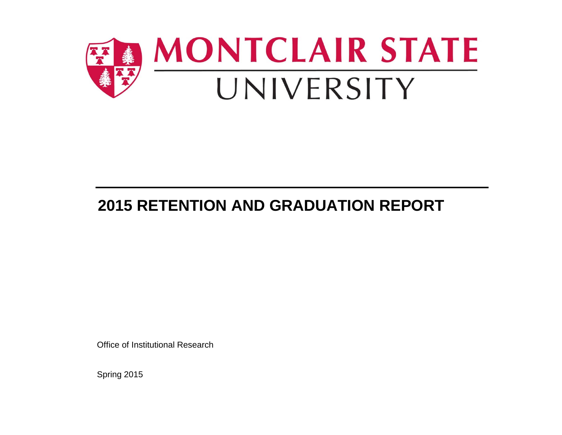

# **2015 RETENTION AND GRADUATION REPORT**

Office of Institutional Research

Spring 2015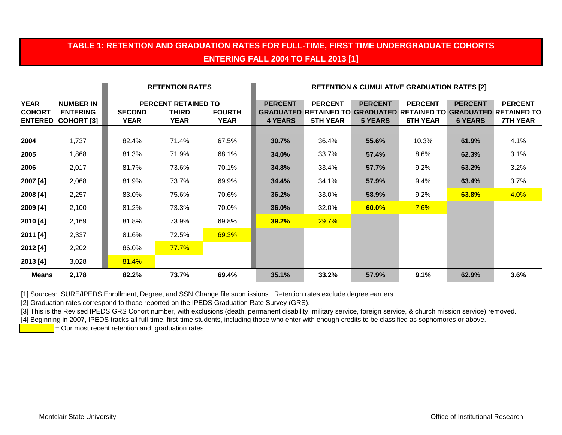### **TABLE 1: RETENTION AND GRADUATION RATES FOR FULL-TIME, FIRST TIME UNDERGRADUATE COHORTS ENTERING FALL 2004 TO FALL 2013 [1]**

|                              |                                                                  |                              | <b>RETENTION RATES</b>                             |                              | <b>RETENTION &amp; CUMULATIVE GRADUATION RATES [2]</b> |                                                                                         |                                  |                                   |                                  |                                                                   |
|------------------------------|------------------------------------------------------------------|------------------------------|----------------------------------------------------|------------------------------|--------------------------------------------------------|-----------------------------------------------------------------------------------------|----------------------------------|-----------------------------------|----------------------------------|-------------------------------------------------------------------|
| <b>YEAR</b><br><b>COHORT</b> | <b>NUMBER IN</b><br><b>ENTERING</b><br><b>ENTERED COHORT [3]</b> | <b>SECOND</b><br><b>YEAR</b> | <b>PERCENT RETAINED TO</b><br>THIRD<br><b>YEAR</b> | <b>FOURTH</b><br><b>YEAR</b> | <b>PERCENT</b><br><b>4 YEARS</b>                       | <b>PERCENT</b><br><b>GRADUATED RETAINED TO GRADUATED RETAINED TO</b><br><b>5TH YEAR</b> | <b>PERCENT</b><br><b>5 YEARS</b> | <b>PERCENT</b><br><b>6TH YEAR</b> | <b>PERCENT</b><br><b>6 YEARS</b> | <b>PERCENT</b><br><b>GRADUATED RETAINED TO</b><br><b>7TH YEAR</b> |
| 2004                         | 1,737                                                            | 82.4%                        | 71.4%                                              | 67.5%                        | 30.7%                                                  | 36.4%                                                                                   | 55.6%                            | 10.3%                             | 61.9%                            | 4.1%                                                              |
| 2005                         | 1,868                                                            | 81.3%                        | 71.9%                                              | 68.1%                        | 34.0%                                                  | 33.7%                                                                                   | 57.4%                            | 8.6%                              | 62.3%                            | 3.1%                                                              |
| 2006                         | 2,017                                                            | 81.7%                        | 73.6%                                              | 70.1%                        | <b>34.8%</b>                                           | 33.4%                                                                                   | 57.7%                            | 9.2%                              | 63.2%                            | 3.2%                                                              |
| 2007 [4]                     | 2,068                                                            | 81.9%                        | 73.7%                                              | 69.9%                        | 34.4%                                                  | 34.1%                                                                                   | 57.9%                            | 9.4%                              | 63.4%                            | 3.7%                                                              |
| 2008 [4]                     | 2,257                                                            | 83.0%                        | 75.6%                                              | 70.6%                        | 36.2%                                                  | 33.0%                                                                                   | 58.9%                            | 9.2%                              | 63.8%                            | 4.0%                                                              |
| 2009 [4]                     | 2,100                                                            | 81.2%                        | 73.3%                                              | 70.0%                        | 36.0%                                                  | 32.0%                                                                                   | 60.0%                            | 7.6%                              |                                  |                                                                   |
| 2010 [4]                     | 2,169                                                            | 81.8%                        | 73.9%                                              | 69.8%                        | <b>39.2%</b>                                           | 29.7%                                                                                   |                                  |                                   |                                  |                                                                   |
| 2011 [4]                     | 2,337                                                            | 81.6%                        | 72.5%                                              | 69.3%                        |                                                        |                                                                                         |                                  |                                   |                                  |                                                                   |
| 2012 [4]                     | 2,202                                                            | 86.0%                        | 77.7%                                              |                              |                                                        |                                                                                         |                                  |                                   |                                  |                                                                   |
| 2013 [4]                     | 3,028                                                            | 81.4%                        |                                                    |                              |                                                        |                                                                                         |                                  |                                   |                                  |                                                                   |
| <b>Means</b>                 | 2,178                                                            | 82.2%                        | 73.7%                                              | 69.4%                        | 35.1%                                                  | 33.2%                                                                                   | 57.9%                            | 9.1%                              | 62.9%                            | 3.6%                                                              |

[1] Sources: SURE/IPEDS Enrollment, Degree, and SSN Change file submissions. Retention rates exclude degree earners.

[2] Graduation rates correspond to those reported on the IPEDS Graduation Rate Survey (GRS).

[3] This is the Revised IPEDS GRS Cohort number, with exclusions (death, permanent disability, military service, foreign service, & church mission service) removed.

[4] Beginning in 2007, IPEDS tracks all full-time, first-time students, including those who enter with enough credits to be classified as sophomores or above.

 $\overline{P}$  = Our most recent retention and graduation rates.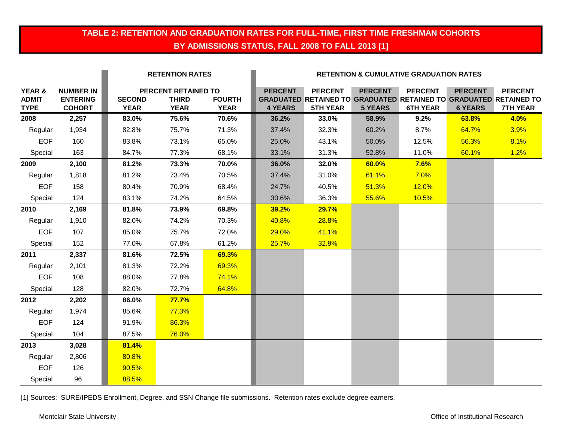### **TABLE 2: RETENTION AND GRADUATION RATES FOR FULL-TIME, FIRST TIME FRESHMAN COHORTS BY ADMISSIONS STATUS, FALL 2008 TO FALL 2013 [1]**

|                                       |                                                      |                              | <b>RETENTION RATES</b>                             |                              |                                  |                                   |                                  | <b>RETENTION &amp; CUMULATIVE GRADUATION RATES</b> |                                  |                                                                                                               |
|---------------------------------------|------------------------------------------------------|------------------------------|----------------------------------------------------|------------------------------|----------------------------------|-----------------------------------|----------------------------------|----------------------------------------------------|----------------------------------|---------------------------------------------------------------------------------------------------------------|
| YEAR &<br><b>ADMIT</b><br><b>TYPE</b> | <b>NUMBER IN</b><br><b>ENTERING</b><br><b>COHORT</b> | <b>SECOND</b><br><b>YEAR</b> | PERCENT RETAINED TO<br><b>THIRD</b><br><b>YEAR</b> | <b>FOURTH</b><br><b>YEAR</b> | <b>PERCENT</b><br><b>4 YEARS</b> | <b>PERCENT</b><br><b>5TH YEAR</b> | <b>PERCENT</b><br><b>5 YEARS</b> | <b>PERCENT</b><br><b>6TH YEAR</b>                  | <b>PERCENT</b><br><b>6 YEARS</b> | <b>PERCENT</b><br><b>GRADUATED RETAINED TO GRADUATED RETAINED TO GRADUATED RETAINED TO</b><br><b>7TH YEAR</b> |
| 2008                                  | 2,257                                                | 83.0%                        | 75.6%                                              | 70.6%                        | 36.2%                            | 33.0%                             | 58.9%                            | 9.2%                                               | 63.8%                            | 4.0%                                                                                                          |
| Regular                               | 1,934                                                | 82.8%                        | 75.7%                                              | 71.3%                        | 37.4%                            | 32.3%                             | 60.2%                            | 8.7%                                               | 64.7%                            | 3.9%                                                                                                          |
| <b>EOF</b>                            | 160                                                  | 83.8%                        | 73.1%                                              | 65.0%                        | 25.0%                            | 43.1%                             | 50.0%                            | 12.5%                                              | 56.3%                            | 8.1%                                                                                                          |
| Special                               | 163                                                  | 84.7%                        | 77.3%                                              | 68.1%                        | 33.1%                            | 31.3%                             | 52.8%                            | 11.0%                                              | 60.1%                            | 1.2%                                                                                                          |
| 2009                                  | 2,100                                                | 81.2%                        | 73.3%                                              | 70.0%                        | 36.0%                            | 32.0%                             | 60.0%                            | 7.6%                                               |                                  |                                                                                                               |
| Regular                               | 1,818                                                | 81.2%                        | 73.4%                                              | 70.5%                        | 37.4%                            | 31.0%                             | 61.1%                            | 7.0%                                               |                                  |                                                                                                               |
| <b>EOF</b>                            | 158                                                  | 80.4%                        | 70.9%                                              | 68.4%                        | 24.7%                            | 40.5%                             | 51.3%                            | 12.0%                                              |                                  |                                                                                                               |
| Special                               | 124                                                  | 83.1%                        | 74.2%                                              | 64.5%                        | 30.6%                            | 36.3%                             | 55.6%                            | 10.5%                                              |                                  |                                                                                                               |
| 2010                                  | 2,169                                                | 81.8%                        | 73.9%                                              | 69.8%                        | 39.2%                            | 29.7%                             |                                  |                                                    |                                  |                                                                                                               |
| Regular                               | 1,910                                                | 82.0%                        | 74.2%                                              | 70.3%                        | 40.8%                            | 28.8%                             |                                  |                                                    |                                  |                                                                                                               |
| <b>EOF</b>                            | 107                                                  | 85.0%                        | 75.7%                                              | 72.0%                        | 29.0%                            | 41.1%                             |                                  |                                                    |                                  |                                                                                                               |
| Special                               | 152                                                  | 77.0%                        | 67.8%                                              | 61.2%                        | 25.7%                            | 32.9%                             |                                  |                                                    |                                  |                                                                                                               |
| 2011                                  | 2,337                                                | 81.6%                        | 72.5%                                              | 69.3%                        |                                  |                                   |                                  |                                                    |                                  |                                                                                                               |
| Regular                               | 2,101                                                | 81.3%                        | 72.2%                                              | 69.3%                        |                                  |                                   |                                  |                                                    |                                  |                                                                                                               |
| <b>EOF</b>                            | 108                                                  | 88.0%                        | 77.8%                                              | 74.1%                        |                                  |                                   |                                  |                                                    |                                  |                                                                                                               |
| Special                               | 128                                                  | 82.0%                        | 72.7%                                              | 64.8%                        |                                  |                                   |                                  |                                                    |                                  |                                                                                                               |
| 2012                                  | 2,202                                                | 86.0%                        | <b>77.7%</b>                                       |                              |                                  |                                   |                                  |                                                    |                                  |                                                                                                               |
| Regular                               | 1,974                                                | 85.6%                        | 77.3%                                              |                              |                                  |                                   |                                  |                                                    |                                  |                                                                                                               |
| <b>EOF</b>                            | 124                                                  | 91.9%                        | 86.3%                                              |                              |                                  |                                   |                                  |                                                    |                                  |                                                                                                               |
| Special                               | 104                                                  | 87.5%                        | 76.0%                                              |                              |                                  |                                   |                                  |                                                    |                                  |                                                                                                               |
| 2013                                  | 3,028                                                | 81.4%                        |                                                    |                              |                                  |                                   |                                  |                                                    |                                  |                                                                                                               |
| Regular                               | 2,806                                                | 80.8%                        |                                                    |                              |                                  |                                   |                                  |                                                    |                                  |                                                                                                               |
| <b>EOF</b>                            | 126                                                  | 90.5%                        |                                                    |                              |                                  |                                   |                                  |                                                    |                                  |                                                                                                               |
| Special                               | 96                                                   | 88.5%                        |                                                    |                              |                                  |                                   |                                  |                                                    |                                  |                                                                                                               |

[1] Sources: SURE/IPEDS Enrollment, Degree, and SSN Change file submissions. Retention rates exclude degree earners.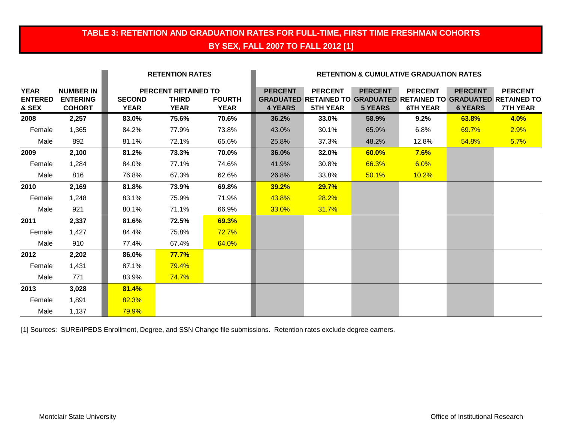### **TABLE 3: RETENTION AND GRADUATION RATES FOR FULL-TIME, FIRST TIME FRESHMAN COHORTS BY SEX, FALL 2007 TO FALL 2012 [1]**

|                                        |                                                      |                       | <b>RETENTION RATES</b>                                    |                              |                                  |                                                                                                               |                                  | <b>RETENTION &amp; CUMULATIVE GRADUATION RATES</b> |                                  |                                   |
|----------------------------------------|------------------------------------------------------|-----------------------|-----------------------------------------------------------|------------------------------|----------------------------------|---------------------------------------------------------------------------------------------------------------|----------------------------------|----------------------------------------------------|----------------------------------|-----------------------------------|
| <b>YEAR</b><br><b>ENTERED</b><br>& SEX | <b>NUMBER IN</b><br><b>ENTERING</b><br><b>COHORT</b> | <b>SECOND</b><br>YEAR | <b>PERCENT RETAINED TO</b><br><b>THIRD</b><br><b>YEAR</b> | <b>FOURTH</b><br><b>YEAR</b> | <b>PERCENT</b><br><b>4 YEARS</b> | <b>PERCENT</b><br><b>GRADUATED RETAINED TO GRADUATED RETAINED TO GRADUATED RETAINED TO</b><br><b>5TH YEAR</b> | <b>PERCENT</b><br><b>5 YEARS</b> | <b>PERCENT</b><br><b>6TH YEAR</b>                  | <b>PERCENT</b><br><b>6 YEARS</b> | <b>PERCENT</b><br><b>7TH YEAR</b> |
| 2008                                   | 2,257                                                | 83.0%                 | 75.6%                                                     | 70.6%                        | 36.2%                            | 33.0%                                                                                                         | 58.9%                            | 9.2%                                               | 63.8%                            | 4.0%                              |
| Female                                 | 1,365                                                | 84.2%                 | 77.9%                                                     | 73.8%                        | 43.0%                            | 30.1%                                                                                                         | 65.9%                            | 6.8%                                               | 69.7%                            | 2.9%                              |
| Male                                   | 892                                                  | 81.1%                 | 72.1%                                                     | 65.6%                        | 25.8%                            | 37.3%                                                                                                         | 48.2%                            | 12.8%                                              | 54.8%                            | 5.7%                              |
| 2009                                   | 2,100                                                | 81.2%                 | 73.3%                                                     | 70.0%                        | 36.0%                            | 32.0%                                                                                                         | 60.0%                            | 7.6%                                               |                                  |                                   |
| Female                                 | 1,284                                                | 84.0%                 | 77.1%                                                     | 74.6%                        | 41.9%                            | 30.8%                                                                                                         | 66.3%                            | 6.0%                                               |                                  |                                   |
| Male                                   | 816                                                  | 76.8%                 | 67.3%                                                     | 62.6%                        | 26.8%                            | 33.8%                                                                                                         | 50.1%                            | 10.2%                                              |                                  |                                   |
| 2010                                   | 2,169                                                | 81.8%                 | 73.9%                                                     | 69.8%                        | <b>39.2%</b>                     | <b>29.7%</b>                                                                                                  |                                  |                                                    |                                  |                                   |
| Female                                 | 1,248                                                | 83.1%                 | 75.9%                                                     | 71.9%                        | 43.8%                            | 28.2%                                                                                                         |                                  |                                                    |                                  |                                   |
| Male                                   | 921                                                  | 80.1%                 | 71.1%                                                     | 66.9%                        | 33.0%                            | 31.7%                                                                                                         |                                  |                                                    |                                  |                                   |
| 2011                                   | 2,337                                                | 81.6%                 | 72.5%                                                     | 69.3%                        |                                  |                                                                                                               |                                  |                                                    |                                  |                                   |
| Female                                 | 1,427                                                | 84.4%                 | 75.8%                                                     | <b>72.7%</b>                 |                                  |                                                                                                               |                                  |                                                    |                                  |                                   |
| Male                                   | 910                                                  | 77.4%                 | 67.4%                                                     | 64.0%                        |                                  |                                                                                                               |                                  |                                                    |                                  |                                   |
| 2012                                   | 2,202                                                | 86.0%                 | 77.7%                                                     |                              |                                  |                                                                                                               |                                  |                                                    |                                  |                                   |
| Female                                 | 1,431                                                | 87.1%                 | 79.4%                                                     |                              |                                  |                                                                                                               |                                  |                                                    |                                  |                                   |
| Male                                   | 771                                                  | 83.9%                 | 74.7%                                                     |                              |                                  |                                                                                                               |                                  |                                                    |                                  |                                   |
| 2013                                   | 3,028                                                | 81.4%                 |                                                           |                              |                                  |                                                                                                               |                                  |                                                    |                                  |                                   |
| Female                                 | 1,891                                                | 82.3%                 |                                                           |                              |                                  |                                                                                                               |                                  |                                                    |                                  |                                   |
| Male                                   | 1,137                                                | 79.9%                 |                                                           |                              |                                  |                                                                                                               |                                  |                                                    |                                  |                                   |

[1] Sources: SURE/IPEDS Enrollment, Degree, and SSN Change file submissions. Retention rates exclude degree earners.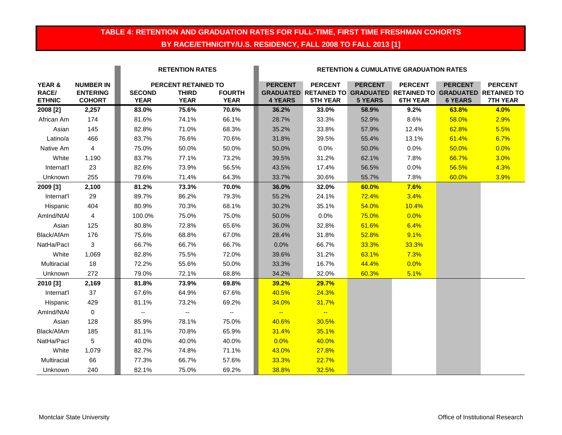### **TABLE 4: RETENTION AND GRADUATION RATES FOR FULL-TIME, FIRST TIME FRESHMAN COHORTS BY RACE/ETHNICITY/U.S. RESIDENCY, FALL 2008 TO FALL 2013 [1]**

|                                  |                                                      |                              | <b>RETENTION RATES</b>                             |                              |                                  | <b>RETENTION &amp; CUMULATIVE GRADUATION RATES</b>                                                     |                                  |                                   |                                  |                                   |
|----------------------------------|------------------------------------------------------|------------------------------|----------------------------------------------------|------------------------------|----------------------------------|--------------------------------------------------------------------------------------------------------|----------------------------------|-----------------------------------|----------------------------------|-----------------------------------|
| YEAR &<br>RACE/<br><b>ETHNIC</b> | <b>NUMBER IN</b><br><b>ENTERING</b><br><b>COHORT</b> | <b>SECOND</b><br><b>YEAR</b> | PERCENT RETAINED TO<br><b>THIRD</b><br><b>YEAR</b> | <b>FOURTH</b><br><b>YEAR</b> | <b>PERCENT</b><br><b>4 YEARS</b> | <b>PERCENT</b><br>GRADUATED RETAINED TO GRADUATED RETAINED TO GRADUATED RETAINED TO<br><b>5TH YEAR</b> | <b>PERCENT</b><br><b>5 YEARS</b> | <b>PERCENT</b><br><b>6TH YEAR</b> | <b>PERCENT</b><br><b>6 YEARS</b> | <b>PERCENT</b><br><b>7TH YEAR</b> |
| 2008 [2]                         | 2,257                                                | 83.0%                        | 75.6%                                              | 70.6%                        | 36.2%                            | 33.0%                                                                                                  | 58.9%                            | 9.2%                              | 63.8%                            | 4.0%                              |
| African Am                       | 174                                                  | 81.6%                        | 74.1%                                              | 66.1%                        | 28.7%                            | 33.3%                                                                                                  | 52.9%                            | 8.6%                              | 58.0%                            | 2.9%                              |
| Asian                            | 145                                                  | 82.8%                        | 71.0%                                              | 68.3%                        | 35.2%                            | 33.8%                                                                                                  | 57.9%                            | 12.4%                             | 62.8%                            | 5.5%                              |
| Latino/a                         | 466                                                  | 83.7%                        | 76.6%                                              | 70.6%                        | 31.8%                            | 39.5%                                                                                                  | 55.4%                            | 13.1%                             | 61.4%                            | 6.7%                              |
| Native Am                        | $\overline{4}$                                       | 75.0%                        | 50.0%                                              | 50.0%                        | 50.0%                            | 0.0%                                                                                                   | 50.0%                            | 0.0%                              | 50.0%                            | 0.0%                              |
| White                            | 1,190                                                | 83.7%                        | 77.1%                                              | 73.2%                        | 39.5%                            | 31.2%                                                                                                  | 62.1%                            | 7.8%                              | 66.7%                            | 3.0%                              |
| Internat'l                       | 23                                                   | 82.6%                        | 73.9%                                              | 56.5%                        | 43.5%                            | 17.4%                                                                                                  | 56.5%                            | 0.0%                              | 56.5%                            | 4.3%                              |
| Unknown                          | 255                                                  | 79.6%                        | 71.4%                                              | 64.3%                        | 33.7%                            | 30.6%                                                                                                  | 55.7%                            | 7.8%                              | 60.0%                            | 3.9%                              |
| 2009 [3]                         | 2,100                                                | 81.2%                        | 73.3%                                              | 70.0%                        | 36.0%                            | 32.0%                                                                                                  | 60.0%                            | 7.6%                              |                                  |                                   |
| Internat'l                       | 29                                                   | 89.7%                        | 86.2%                                              | 79.3%                        | 55.2%                            | 24.1%                                                                                                  | 72.4%                            | 3.4%                              |                                  |                                   |
| Hispanic                         | 404                                                  | 80.9%                        | 70.3%                                              | 68.1%                        | 30.2%                            | 35.1%                                                                                                  | 54.0%                            | 10.4%                             |                                  |                                   |
| Amlnd/NtAl                       | 4                                                    | 100.0%                       | 75.0%                                              | 75.0%                        | 50.0%                            | 0.0%                                                                                                   | 75.0%                            | 0.0%                              |                                  |                                   |
| Asian                            | 125                                                  | 80.8%                        | 72.8%                                              | 65.6%                        | 36.0%                            | 32.8%                                                                                                  | 61.6%                            | 6.4%                              |                                  |                                   |
| Black/AfAm                       | 176                                                  | 75.6%                        | 68.8%                                              | 67.0%                        | 28.4%                            | 31.8%                                                                                                  | 52.8%                            | 9.1%                              |                                  |                                   |
| NatHa/Pacl                       | 3                                                    | 66.7%                        | 66.7%                                              | 66.7%                        | 0.0%                             | 66.7%                                                                                                  | 33.3%                            | 33.3%                             |                                  |                                   |
| White                            | 1,069                                                | 82.8%                        | 75.5%                                              | 72.0%                        | 39.6%                            | 31.2%                                                                                                  | 63.1%                            | 7.3%                              |                                  |                                   |
| Multiracial                      | 18                                                   | 72.2%                        | 55.6%                                              | 50.0%                        | 33.3%                            | 16.7%                                                                                                  | 44.4%                            | 0.0%                              |                                  |                                   |
| Unknown                          | 272                                                  | 79.0%                        | 72.1%                                              | 68.8%                        | 34.2%                            | 32.0%                                                                                                  | 60.3%                            | 5.1%                              |                                  |                                   |
| 2010 [3]                         | 2,169                                                | 81.8%                        | 73.9%                                              | 69.8%                        | 39.2%                            | 29.7%                                                                                                  |                                  |                                   |                                  |                                   |
| Internat'l                       | 37                                                   | 67.6%                        | 64.9%                                              | 67.6%                        | 40.5%                            | 24.3%                                                                                                  |                                  |                                   |                                  |                                   |
| Hispanic                         | 429                                                  | 81.1%                        | 73.2%                                              | 69.2%                        | 34.0%                            | 31.7%                                                                                                  |                                  |                                   |                                  |                                   |
| AmInd/NtAI                       | 0                                                    | $\overline{\phantom{a}}$     | $\overline{\phantom{a}}$                           | $\overline{\phantom{a}}$     | $\frac{1}{2}$ and $\frac{1}{2}$  | $\sim$ $-$                                                                                             |                                  |                                   |                                  |                                   |
| Asian                            | 128                                                  | 85.9%                        | 78.1%                                              | 75.0%                        | 40.6%                            | 30.5%                                                                                                  |                                  |                                   |                                  |                                   |
| Black/AfAm                       | 185                                                  | 81.1%                        | 70.8%                                              | 65.9%                        | 31.4%                            | 35.1%                                                                                                  |                                  |                                   |                                  |                                   |
| NatHa/Pacl                       | 5                                                    | 40.0%                        | 40.0%                                              | 40.0%                        | 0.0%                             | 40.0%                                                                                                  |                                  |                                   |                                  |                                   |
| White                            | 1,079                                                | 82.7%                        | 74.8%                                              | 71.1%                        | 43.0%                            | 27.8%                                                                                                  |                                  |                                   |                                  |                                   |
| Multiracial                      | 66                                                   | 77.3%                        | 66.7%                                              | 57.6%                        | 33.3%                            | 22.7%                                                                                                  |                                  |                                   |                                  |                                   |
| Unknown                          | 240                                                  | 82.1%                        | 75.0%                                              | 69.2%                        | 38.8%                            | 32.5%                                                                                                  |                                  |                                   |                                  |                                   |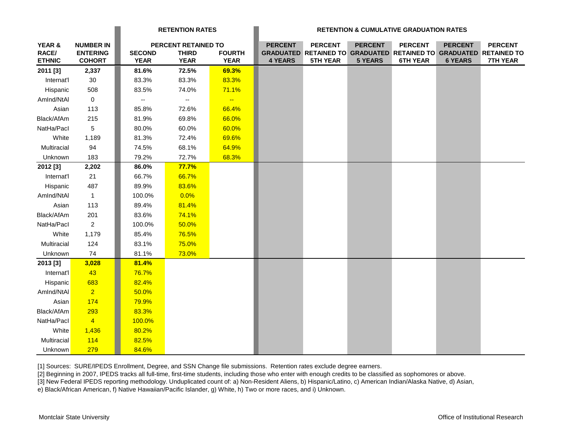|                        |                                  |                              | <b>RETENTION RATES</b>      |                              |                |                                                                                      |                | <b>RETENTION &amp; CUMULATIVE GRADUATION RATES</b> |                |                 |
|------------------------|----------------------------------|------------------------------|-----------------------------|------------------------------|----------------|--------------------------------------------------------------------------------------|----------------|----------------------------------------------------|----------------|-----------------|
| YEAR &                 | <b>NUMBER IN</b>                 |                              | PERCENT RETAINED TO         |                              | <b>PERCENT</b> | <b>PERCENT</b>                                                                       | <b>PERCENT</b> | <b>PERCENT</b>                                     | <b>PERCENT</b> | <b>PERCENT</b>  |
| RACE/<br><b>ETHNIC</b> | <b>ENTERING</b><br><b>COHORT</b> | <b>SECOND</b><br><b>YEAR</b> | <b>THIRD</b><br><b>YEAR</b> | <b>FOURTH</b><br><b>YEAR</b> | <b>4 YEARS</b> | GRADUATED RETAINED TO GRADUATED RETAINED TO GRADUATED RETAINED TO<br><b>5TH YEAR</b> | <b>5 YEARS</b> | <b>6TH YEAR</b>                                    | <b>6 YEARS</b> | <b>7TH YEAR</b> |
| 2011 [3]               | 2,337                            | 81.6%                        | 72.5%                       | 69.3%                        |                |                                                                                      |                |                                                    |                |                 |
| Internat'l             | $30\,$                           | 83.3%                        | 83.3%                       | 83.3%                        |                |                                                                                      |                |                                                    |                |                 |
| Hispanic               | 508                              | 83.5%                        | 74.0%                       | 71.1%                        |                |                                                                                      |                |                                                    |                |                 |
| AmInd/NtAI             | $\mathbf 0$                      | --                           | $\overline{\phantom{a}}$    | $\overline{\phantom{a}}$     |                |                                                                                      |                |                                                    |                |                 |
| Asian                  | 113                              | 85.8%                        | 72.6%                       | 66.4%                        |                |                                                                                      |                |                                                    |                |                 |
| Black/AfAm             | 215                              | 81.9%                        | 69.8%                       | 66.0%                        |                |                                                                                      |                |                                                    |                |                 |
| NatHa/Pacl             | 5                                | 80.0%                        | 60.0%                       | 60.0%                        |                |                                                                                      |                |                                                    |                |                 |
| White                  | 1,189                            | 81.3%                        | 72.4%                       | 69.6%                        |                |                                                                                      |                |                                                    |                |                 |
| Multiracial            | 94                               | 74.5%                        | 68.1%                       | 64.9%                        |                |                                                                                      |                |                                                    |                |                 |
| Unknown                | 183                              | 79.2%                        | 72.7%                       | 68.3%                        |                |                                                                                      |                |                                                    |                |                 |
| 2012 [3]               | 2,202                            | 86.0%                        | 77.7%                       |                              |                |                                                                                      |                |                                                    |                |                 |
| Internat'l             | 21                               | 66.7%                        | 66.7%                       |                              |                |                                                                                      |                |                                                    |                |                 |
| Hispanic               | 487                              | 89.9%                        | 83.6%                       |                              |                |                                                                                      |                |                                                    |                |                 |
| AmInd/NtAI             | $\overline{1}$                   | 100.0%                       | 0.0%                        |                              |                |                                                                                      |                |                                                    |                |                 |
| Asian                  | 113                              | 89.4%                        | 81.4%                       |                              |                |                                                                                      |                |                                                    |                |                 |
| Black/AfAm             | 201                              | 83.6%                        | 74.1%                       |                              |                |                                                                                      |                |                                                    |                |                 |
| NatHa/Pacl             | $\overline{2}$                   | 100.0%                       | 50.0%                       |                              |                |                                                                                      |                |                                                    |                |                 |
| White                  | 1,179                            | 85.4%                        | 76.5%                       |                              |                |                                                                                      |                |                                                    |                |                 |
| Multiracial            | 124                              | 83.1%                        | 75.0%                       |                              |                |                                                                                      |                |                                                    |                |                 |
| Unknown                | 74                               | 81.1%                        | 73.0%                       |                              |                |                                                                                      |                |                                                    |                |                 |
| 2013 [3]               | 3,028                            | 81.4%                        |                             |                              |                |                                                                                      |                |                                                    |                |                 |
| Internat'l             | 43                               | 76.7%                        |                             |                              |                |                                                                                      |                |                                                    |                |                 |
| Hispanic               | 683                              | 82.4%                        |                             |                              |                |                                                                                      |                |                                                    |                |                 |
| AmInd/NtAl             | $\overline{2}$                   | 50.0%                        |                             |                              |                |                                                                                      |                |                                                    |                |                 |
| Asian                  | 174                              | 79.9%                        |                             |                              |                |                                                                                      |                |                                                    |                |                 |
| Black/AfAm             | 293                              | 83.3%                        |                             |                              |                |                                                                                      |                |                                                    |                |                 |
| NatHa/Pacl             | $\overline{4}$                   | 100.0%                       |                             |                              |                |                                                                                      |                |                                                    |                |                 |
| White                  | 1,436                            | 80.2%                        |                             |                              |                |                                                                                      |                |                                                    |                |                 |
| Multiracial            | 114                              | 82.5%                        |                             |                              |                |                                                                                      |                |                                                    |                |                 |
| Unknown                | 279                              | 84.6%                        |                             |                              |                |                                                                                      |                |                                                    |                |                 |

[1] Sources: SURE/IPEDS Enrollment, Degree, and SSN Change file submissions. Retention rates exclude degree earners.

[2] Beginning in 2007, IPEDS tracks all full-time, first-time students, including those who enter with enough credits to be classified as sophomores or above.

[3] New Federal IPEDS reporting methodology. Unduplicated count of: a) Non-Resident Aliens, b) Hispanic/Latino, c) American Indian/Alaska Native, d) Asian,

e) Black/African American, f) Native Hawaiian/Pacific Islander, g) White, h) Two or more races, and i) Unknown.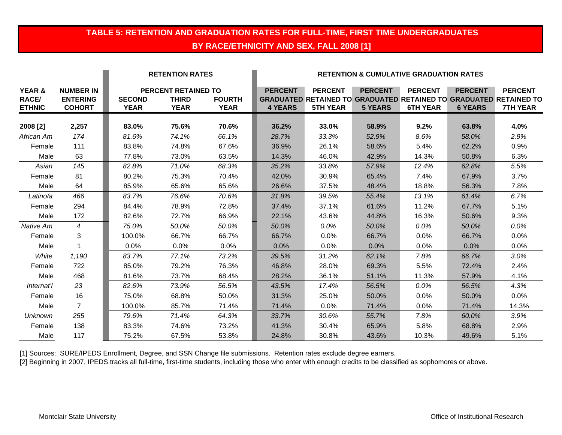### **TABLE 5: RETENTION AND GRADUATION RATES FOR FULL-TIME, FIRST TIME UNDERGRADUATES BY RACE/ETHNICITY AND SEX, FALL 2008 [1]**

|                                         |                                                      |                              | <b>RETENTION RATES</b>                                    |                              | <b>RETENTION &amp; CUMULATIVE GRADUATION RATES</b> |                                                                                                               |                                  |                                   |                                  |                                   |
|-----------------------------------------|------------------------------------------------------|------------------------------|-----------------------------------------------------------|------------------------------|----------------------------------------------------|---------------------------------------------------------------------------------------------------------------|----------------------------------|-----------------------------------|----------------------------------|-----------------------------------|
| YEAR &<br><b>RACE/</b><br><b>ETHNIC</b> | <b>NUMBER IN</b><br><b>ENTERING</b><br><b>COHORT</b> | <b>SECOND</b><br><b>YEAR</b> | <b>PERCENT RETAINED TO</b><br><b>THIRD</b><br><b>YEAR</b> | <b>FOURTH</b><br><b>YEAR</b> | <b>PERCENT</b><br><b>4 YEARS</b>                   | <b>PERCENT</b><br><b>GRADUATED RETAINED TO GRADUATED RETAINED TO GRADUATED RETAINED TO</b><br><b>5TH YEAR</b> | <b>PERCENT</b><br><b>5 YEARS</b> | <b>PERCENT</b><br><b>6TH YEAR</b> | <b>PERCENT</b><br><b>6 YEARS</b> | <b>PERCENT</b><br><b>7TH YEAR</b> |
|                                         |                                                      |                              |                                                           |                              |                                                    |                                                                                                               |                                  |                                   |                                  |                                   |
| 2008 [2]                                | 2,257                                                | 83.0%                        | 75.6%                                                     | 70.6%                        | 36.2%                                              | 33.0%                                                                                                         | 58.9%                            | 9.2%                              | 63.8%                            | 4.0%                              |
| African Am                              | 174                                                  | 81.6%                        | 74.1%                                                     | 66.1%                        | 28.7%                                              | 33.3%                                                                                                         | 52.9%                            | 8.6%                              | 58.0%                            | 2.9%                              |
| Female                                  | 111                                                  | 83.8%                        | 74.8%                                                     | 67.6%                        | 36.9%                                              | 26.1%                                                                                                         | 58.6%                            | 5.4%                              | 62.2%                            | 0.9%                              |
| Male                                    | 63                                                   | 77.8%                        | 73.0%                                                     | 63.5%                        | 14.3%                                              | 46.0%                                                                                                         | 42.9%                            | 14.3%                             | 50.8%                            | 6.3%                              |
| Asian                                   | 145                                                  | 82.8%                        | 71.0%                                                     | 68.3%                        | 35.2%                                              | 33.8%                                                                                                         | 57.9%                            | 12.4%                             | 62.8%                            | 5.5%                              |
| Female                                  | 81                                                   | 80.2%                        | 75.3%                                                     | 70.4%                        | 42.0%                                              | 30.9%                                                                                                         | 65.4%                            | 7.4%                              | 67.9%                            | 3.7%                              |
| Male                                    | 64                                                   | 85.9%                        | 65.6%                                                     | 65.6%                        | 26.6%                                              | 37.5%                                                                                                         | 48.4%                            | 18.8%                             | 56.3%                            | 7.8%                              |
| Latino/a                                | 466                                                  | 83.7%                        | 76.6%                                                     | 70.6%                        | 31.8%                                              | 39.5%                                                                                                         | 55.4%                            | 13.1%                             | 61.4%                            | 6.7%                              |
| Female                                  | 294                                                  | 84.4%                        | 78.9%                                                     | 72.8%                        | 37.4%                                              | 37.1%                                                                                                         | 61.6%                            | 11.2%                             | 67.7%                            | 5.1%                              |
| Male                                    | 172                                                  | 82.6%                        | 72.7%                                                     | 66.9%                        | 22.1%                                              | 43.6%                                                                                                         | 44.8%                            | 16.3%                             | 50.6%                            | 9.3%                              |
| Native Am                               | $\overline{4}$                                       | 75.0%                        | 50.0%                                                     | 50.0%                        | 50.0%                                              | 0.0%                                                                                                          | 50.0%                            | 0.0%                              | 50.0%                            | 0.0%                              |
| Female                                  | 3                                                    | 100.0%                       | 66.7%                                                     | 66.7%                        | 66.7%                                              | 0.0%                                                                                                          | 66.7%                            | 0.0%                              | 66.7%                            | 0.0%                              |
| Male                                    |                                                      | 0.0%                         | 0.0%                                                      | 0.0%                         | 0.0%                                               | 0.0%                                                                                                          | 0.0%                             | 0.0%                              | 0.0%                             | 0.0%                              |
| White                                   | 1,190                                                | 83.7%                        | 77.1%                                                     | 73.2%                        | 39.5%                                              | 31.2%                                                                                                         | 62.1%                            | 7.8%                              | 66.7%                            | 3.0%                              |
| Female                                  | 722                                                  | 85.0%                        | 79.2%                                                     | 76.3%                        | 46.8%                                              | 28.0%                                                                                                         | 69.3%                            | 5.5%                              | 72.4%                            | 2.4%                              |
| Male                                    | 468                                                  | 81.6%                        | 73.7%                                                     | 68.4%                        | 28.2%                                              | 36.1%                                                                                                         | 51.1%                            | 11.3%                             | 57.9%                            | 4.1%                              |
| Internat'l                              | 23                                                   | 82.6%                        | 73.9%                                                     | 56.5%                        | 43.5%                                              | 17.4%                                                                                                         | 56.5%                            | 0.0%                              | 56.5%                            | 4.3%                              |
| Female                                  | 16                                                   | 75.0%                        | 68.8%                                                     | 50.0%                        | 31.3%                                              | 25.0%                                                                                                         | 50.0%                            | 0.0%                              | 50.0%                            | 0.0%                              |
| Male                                    | $\overline{7}$                                       | 100.0%                       | 85.7%                                                     | 71.4%                        | 71.4%                                              | 0.0%                                                                                                          | 71.4%                            | 0.0%                              | 71.4%                            | 14.3%                             |
| <b>Unknown</b>                          | 255                                                  | 79.6%                        | 71.4%                                                     | 64.3%                        | 33.7%                                              | 30.6%                                                                                                         | 55.7%                            | 7.8%                              | 60.0%                            | 3.9%                              |
| Female                                  | 138                                                  | 83.3%                        | 74.6%                                                     | 73.2%                        | 41.3%                                              | 30.4%                                                                                                         | 65.9%                            | 5.8%                              | 68.8%                            | 2.9%                              |
| Male                                    | 117                                                  | 75.2%                        | 67.5%                                                     | 53.8%                        | 24.8%                                              | 30.8%                                                                                                         | 43.6%                            | 10.3%                             | 49.6%                            | 5.1%                              |

[1] Sources: SURE/IPEDS Enrollment, Degree, and SSN Change file submissions. Retention rates exclude degree earners.

[2] Beginning in 2007, IPEDS tracks all full-time, first-time students, including those who enter with enough credits to be classified as sophomores or above.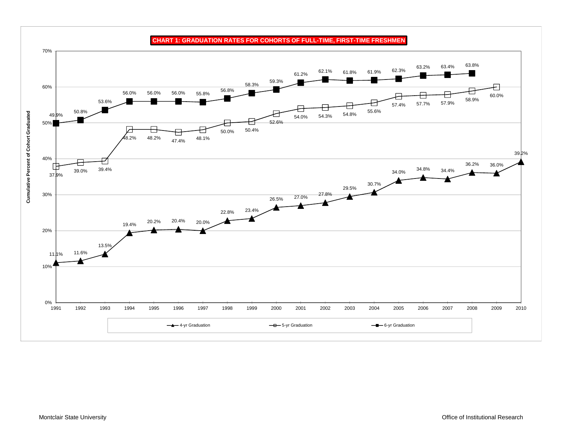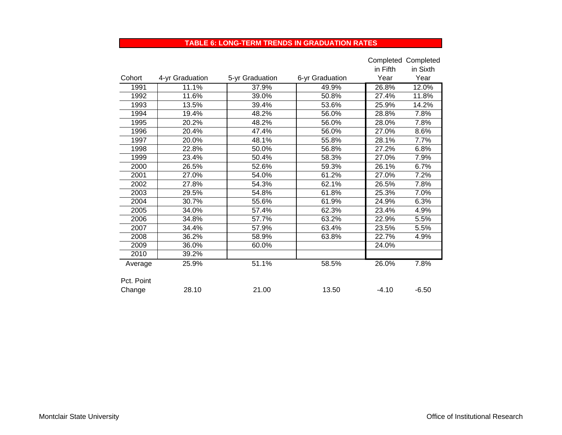#### **TABLE 6: LONG-TERM TRENDS IN GRADUATION RATES**

|            |                 |                 |                 |          | Completed Completed |
|------------|-----------------|-----------------|-----------------|----------|---------------------|
|            |                 |                 |                 | in Fifth | in Sixth            |
| Cohort     | 4-yr Graduation | 5-yr Graduation | 6-yr Graduation | Year     | Year                |
| 1991       | 11.1%           | 37.9%           | 49.9%           | 26.8%    | 12.0%               |
| 1992       | 11.6%           | 39.0%           | 50.8%           | 27.4%    | 11.8%               |
| 1993       | 13.5%           | 39.4%           | 53.6%           | 25.9%    | 14.2%               |
| 1994       | 19.4%           | 48.2%           | 56.0%           | 28.8%    | 7.8%                |
| 1995       | 20.2%           | 48.2%           | 56.0%           | 28.0%    | 7.8%                |
| 1996       | 20.4%           | 47.4%           | 56.0%           | 27.0%    | 8.6%                |
| 1997       | 20.0%           | 48.1%           | 55.8%           | 28.1%    | 7.7%                |
| 1998       | 22.8%           | 50.0%           | 56.8%           | 27.2%    | 6.8%                |
| 1999       | 23.4%           | 50.4%           | 58.3%           | 27.0%    | 7.9%                |
| 2000       | 26.5%           | 52.6%           | 59.3%           | 26.1%    | 6.7%                |
| 2001       | 27.0%           | 54.0%           | 61.2%           | 27.0%    | 7.2%                |
| 2002       | 27.8%           | 54.3%           | 62.1%           | 26.5%    | 7.8%                |
| 2003       | 29.5%           | 54.8%           | 61.8%           | 25.3%    | 7.0%                |
| 2004       | 30.7%           | 55.6%           | 61.9%           | 24.9%    | 6.3%                |
| 2005       | 34.0%           | 57.4%           | 62.3%           | 23.4%    | 4.9%                |
| 2006       | 34.8%           | 57.7%           | 63.2%           | 22.9%    | 5.5%                |
| 2007       | 34.4%           | 57.9%           | 63.4%           | 23.5%    | 5.5%                |
| 2008       | 36.2%           | 58.9%           | 63.8%           | 22.7%    | 4.9%                |
| 2009       | 36.0%           | 60.0%           |                 | 24.0%    |                     |
| 2010       | 39.2%           |                 |                 |          |                     |
| Average    | 25.9%           | 51.1%           | 58.5%           | 26.0%    | 7.8%                |
|            |                 |                 |                 |          |                     |
| Pct. Point |                 |                 |                 |          |                     |
| Change     | 28.10           | 21.00           | 13.50           | $-4.10$  | $-6.50$             |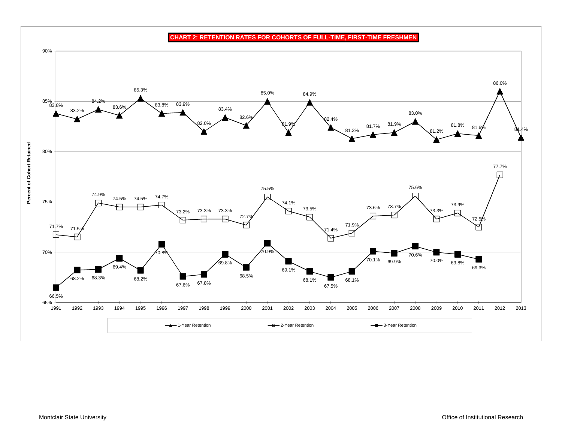**CHART 2: RETENTION RATES FOR COHORTS OF FULL-TIME, FIRST-TIME FRESHMEN**

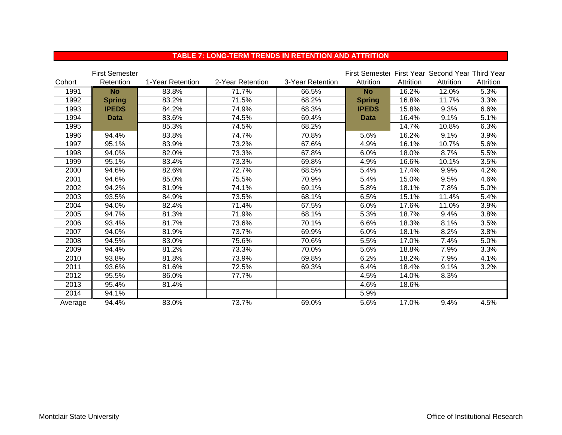|         | <b>First Semester</b> |                  |                  |                  | First Semester First Year Second Year Third Year |           |           |           |
|---------|-----------------------|------------------|------------------|------------------|--------------------------------------------------|-----------|-----------|-----------|
| Cohort  | Retention             | 1-Year Retention | 2-Year Retention | 3-Year Retention | Attrition                                        | Attrition | Attrition | Attrition |
| 1991    | <b>No</b>             | 83.8%            | 71.7%            | 66.5%            | <b>No</b>                                        | 16.2%     | 12.0%     | 5.3%      |
| 1992    | <b>Spring</b>         | 83.2%            | 71.5%            | 68.2%            | <b>Spring</b>                                    | 16.8%     | 11.7%     | 3.3%      |
| 1993    | <b>IPEDS</b>          | 84.2%            | 74.9%            | 68.3%            | <b>IPEDS</b>                                     | 15.8%     | 9.3%      | 6.6%      |
| 1994    | <b>Data</b>           | 83.6%            | 74.5%            | 69.4%            | <b>Data</b>                                      | 16.4%     | 9.1%      | 5.1%      |
| 1995    |                       | 85.3%            | 74.5%            | 68.2%            |                                                  | 14.7%     | 10.8%     | 6.3%      |
| 1996    | 94.4%                 | 83.8%            | 74.7%            | 70.8%            | 5.6%                                             | 16.2%     | 9.1%      | 3.9%      |
| 1997    | 95.1%                 | 83.9%            | 73.2%            | 67.6%            | 4.9%                                             | 16.1%     | 10.7%     | 5.6%      |
| 1998    | 94.0%                 | 82.0%            | 73.3%            | 67.8%            | 6.0%                                             | 18.0%     | 8.7%      | 5.5%      |
| 1999    | 95.1%                 | 83.4%            | 73.3%            | 69.8%            | 4.9%                                             | 16.6%     | 10.1%     | 3.5%      |
| 2000    | 94.6%                 | 82.6%            | 72.7%            | 68.5%            | 5.4%                                             | 17.4%     | 9.9%      | 4.2%      |
| 2001    | 94.6%                 | 85.0%            | 75.5%            | 70.9%            | 5.4%                                             | 15.0%     | 9.5%      | 4.6%      |
| 2002    | 94.2%                 | 81.9%            | 74.1%            | 69.1%            | 5.8%                                             | 18.1%     | 7.8%      | 5.0%      |
| 2003    | 93.5%                 | 84.9%            | 73.5%            | 68.1%            | 6.5%                                             | 15.1%     | 11.4%     | 5.4%      |
| 2004    | 94.0%                 | 82.4%            | 71.4%            | 67.5%            | 6.0%                                             | 17.6%     | 11.0%     | 3.9%      |
| 2005    | 94.7%                 | 81.3%            | 71.9%            | 68.1%            | 5.3%                                             | 18.7%     | 9.4%      | 3.8%      |
| 2006    | 93.4%                 | 81.7%            | 73.6%            | 70.1%            | 6.6%                                             | 18.3%     | 8.1%      | 3.5%      |
| 2007    | 94.0%                 | 81.9%            | 73.7%            | 69.9%            | 6.0%                                             | 18.1%     | 8.2%      | 3.8%      |
| 2008    | 94.5%                 | 83.0%            | 75.6%            | 70.6%            | 5.5%                                             | 17.0%     | 7.4%      | 5.0%      |
| 2009    | 94.4%                 | 81.2%            | 73.3%            | 70.0%            | 5.6%                                             | 18.8%     | 7.9%      | 3.3%      |
| 2010    | 93.8%                 | 81.8%            | 73.9%            | 69.8%            | 6.2%                                             | 18.2%     | 7.9%      | 4.1%      |
| 2011    | 93.6%                 | 81.6%            | 72.5%            | 69.3%            | 6.4%                                             | 18.4%     | 9.1%      | 3.2%      |
| 2012    | 95.5%                 | 86.0%            | 77.7%            |                  | 4.5%                                             | 14.0%     | 8.3%      |           |
| 2013    | 95.4%                 | 81.4%            |                  |                  | 4.6%                                             | 18.6%     |           |           |
| 2014    | 94.1%                 |                  |                  |                  | 5.9%                                             |           |           |           |
| Average | 94.4%                 | 83.0%            | 73.7%            | 69.0%            | 5.6%                                             | 17.0%     | 9.4%      | 4.5%      |

#### **TABLE 7: LONG-TERM TRENDS IN RETENTION AND ATTRITION**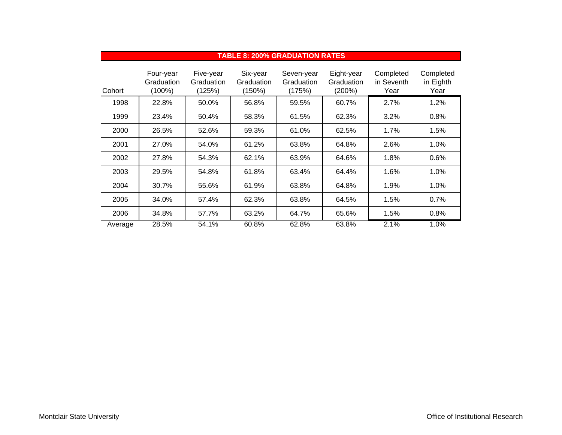|         | <b>TABLE 8: 200% GRADUATION RATES</b> |                                   |                                  |                                    |                                    |                                 |                                |  |  |  |
|---------|---------------------------------------|-----------------------------------|----------------------------------|------------------------------------|------------------------------------|---------------------------------|--------------------------------|--|--|--|
| Cohort  | Four-year<br>Graduation<br>$(100\%)$  | Five-year<br>Graduation<br>(125%) | Six-year<br>Graduation<br>(150%) | Seven-year<br>Graduation<br>(175%) | Eight-year<br>Graduation<br>(200%) | Completed<br>in Seventh<br>Year | Completed<br>in Eighth<br>Year |  |  |  |
| 1998    | 22.8%                                 | 50.0%                             | 56.8%                            | 59.5%                              | 60.7%                              | 2.7%                            | 1.2%                           |  |  |  |
| 1999    | 23.4%                                 | 50.4%                             | 58.3%                            | 61.5%                              | 62.3%                              | 3.2%                            | 0.8%                           |  |  |  |
| 2000    | 26.5%                                 | 52.6%                             | 59.3%                            | 61.0%                              | 62.5%                              | 1.7%                            | 1.5%                           |  |  |  |
| 2001    | 27.0%                                 | 54.0%                             | 61.2%                            | 63.8%                              | 64.8%                              | 2.6%                            | 1.0%                           |  |  |  |
| 2002    | 27.8%                                 | 54.3%                             | 62.1%                            | 63.9%                              | 64.6%                              | 1.8%                            | 0.6%                           |  |  |  |
| 2003    | 29.5%                                 | 54.8%                             | 61.8%                            | 63.4%                              | 64.4%                              | 1.6%                            | 1.0%                           |  |  |  |
| 2004    | 30.7%                                 | 55.6%                             | 61.9%                            | 63.8%                              | 64.8%                              | 1.9%                            | 1.0%                           |  |  |  |
| 2005    | 34.0%                                 | 57.4%                             | 62.3%                            | 63.8%                              | 64.5%                              | 1.5%                            | 0.7%                           |  |  |  |
| 2006    | 34.8%                                 | 57.7%                             | 63.2%                            | 64.7%                              | 65.6%                              | 1.5%                            | 0.8%                           |  |  |  |
| Average | 28.5%                                 | 54.1%                             | 60.8%                            | 62.8%                              | 63.8%                              | 2.1%                            | 1.0%                           |  |  |  |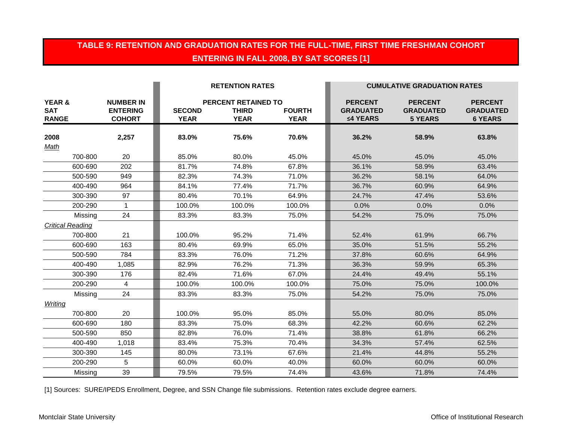### **TABLE 9: RETENTION AND GRADUATION RATES FOR THE FULL-TIME, FIRST TIME FRESHMAN COHORT ENTERING IN FALL 2008, BY SAT SCORES [1]**

|                                                 |                                                      |                              | <b>RETENTION RATES</b>                                    |                              |                                                | <b>CUMULATIVE GRADUATION RATES</b>                   |                                                      |
|-------------------------------------------------|------------------------------------------------------|------------------------------|-----------------------------------------------------------|------------------------------|------------------------------------------------|------------------------------------------------------|------------------------------------------------------|
| <b>YEAR &amp;</b><br><b>SAT</b><br><b>RANGE</b> | <b>NUMBER IN</b><br><b>ENTERING</b><br><b>COHORT</b> | <b>SECOND</b><br><b>YEAR</b> | <b>PERCENT RETAINED TO</b><br><b>THIRD</b><br><b>YEAR</b> | <b>FOURTH</b><br><b>YEAR</b> | <b>PERCENT</b><br><b>GRADUATED</b><br>≤4 YEARS | <b>PERCENT</b><br><b>GRADUATED</b><br><b>5 YEARS</b> | <b>PERCENT</b><br><b>GRADUATED</b><br><b>6 YEARS</b> |
| 2008<br>Math                                    | 2,257                                                | 83.0%                        | 75.6%                                                     | 70.6%                        | 36.2%                                          | 58.9%                                                | 63.8%                                                |
| 700-800                                         | 20                                                   | 85.0%                        | 80.0%                                                     | 45.0%                        | 45.0%                                          | 45.0%                                                | 45.0%                                                |
| 600-690                                         | 202                                                  | 81.7%                        | 74.8%                                                     | 67.8%                        | 36.1%                                          | 58.9%                                                | 63.4%                                                |
| 500-590                                         | 949                                                  | 82.3%                        | 74.3%                                                     | 71.0%                        | 36.2%                                          | 58.1%                                                | 64.0%                                                |
| 400-490                                         | 964                                                  | 84.1%                        | 77.4%                                                     | 71.7%                        | 36.7%                                          | 60.9%                                                | 64.9%                                                |
| 300-390                                         | 97                                                   | 80.4%                        | 70.1%                                                     | 64.9%                        | 24.7%                                          | 47.4%                                                | 53.6%                                                |
| 200-290                                         | $\mathbf 1$                                          | 100.0%                       | 100.0%                                                    | 100.0%                       | 0.0%                                           | 0.0%                                                 | 0.0%                                                 |
| Missing                                         | 24                                                   | 83.3%                        | 83.3%                                                     | 75.0%                        | 54.2%                                          | 75.0%                                                | 75.0%                                                |
| <b>Critical Reading</b>                         |                                                      |                              |                                                           |                              |                                                |                                                      |                                                      |
| 700-800                                         | 21                                                   | 100.0%                       | 95.2%                                                     | 71.4%                        | 52.4%                                          | 61.9%                                                | 66.7%                                                |
| 600-690                                         | 163                                                  | 80.4%                        | 69.9%                                                     | 65.0%                        | 35.0%                                          | 51.5%                                                | 55.2%                                                |
| 500-590                                         | 784                                                  | 83.3%                        | 76.0%                                                     | 71.2%                        | 37.8%                                          | 60.6%                                                | 64.9%                                                |
| 400-490                                         | 1,085                                                | 82.9%                        | 76.2%                                                     | 71.3%                        | 36.3%                                          | 59.9%                                                | 65.3%                                                |
| 300-390                                         | 176                                                  | 82.4%                        | 71.6%                                                     | 67.0%                        | 24.4%                                          | 49.4%                                                | 55.1%                                                |
| 200-290                                         | 4                                                    | 100.0%                       | 100.0%                                                    | 100.0%                       | 75.0%                                          | 75.0%                                                | 100.0%                                               |
| Missing                                         | 24                                                   | 83.3%                        | 83.3%                                                     | 75.0%                        | 54.2%                                          | 75.0%                                                | 75.0%                                                |
| Writing                                         |                                                      |                              |                                                           |                              |                                                |                                                      |                                                      |
| 700-800                                         | 20                                                   | 100.0%                       | 95.0%                                                     | 85.0%                        | 55.0%                                          | 80.0%                                                | 85.0%                                                |
| 600-690                                         | 180                                                  | 83.3%                        | 75.0%                                                     | 68.3%                        | 42.2%                                          | 60.6%                                                | 62.2%                                                |
| 500-590                                         | 850                                                  | 82.8%                        | 76.0%                                                     | 71.4%                        | 38.8%                                          | 61.8%                                                | 66.2%                                                |
| 400-490                                         | 1,018                                                | 83.4%                        | 75.3%                                                     | 70.4%                        | 34.3%                                          | 57.4%                                                | 62.5%                                                |
| 300-390                                         | 145                                                  | 80.0%                        | 73.1%                                                     | 67.6%                        | 21.4%                                          | 44.8%                                                | 55.2%                                                |
| 200-290                                         | 5                                                    | 60.0%                        | 60.0%                                                     | 40.0%                        | 60.0%                                          | 60.0%                                                | 60.0%                                                |
| Missing                                         | 39                                                   | 79.5%                        | 79.5%                                                     | 74.4%                        | 43.6%                                          | 71.8%                                                | 74.4%                                                |

[1] Sources: SURE/IPEDS Enrollment, Degree, and SSN Change file submissions. Retention rates exclude degree earners.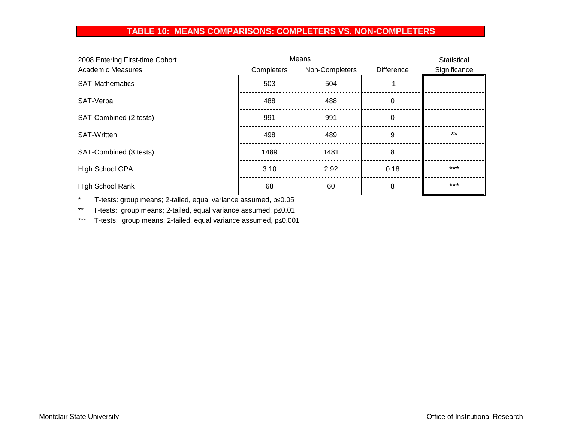### **TABLE 10: MEANS COMPARISONS: COMPLETERS VS. NON-COMPLETERS**

| 2008 Entering First-time Cohort |            | Means          |            | Statistical  |
|---------------------------------|------------|----------------|------------|--------------|
| Academic Measures               | Completers | Non-Completers | Difference | Significance |
| <b>SAT-Mathematics</b>          | 503        | 504            |            |              |
| SAT-Verbal                      | 488        | 488            |            |              |
| SAT-Combined (2 tests)          | 991        | 991            |            |              |
| <b>SAT-Written</b>              | 498        | 489            | 9          | $***$        |
| SAT-Combined (3 tests)          | 1489       | 1481           | 8          |              |
| <b>High School GPA</b>          | 3.10       | 2.92           | 0.18       | ***          |
| High School Rank                | 68         | 60             | 8          | $***$        |

\* T-tests: group means; 2-tailed, equal variance assumed, p≤0.05

\*\* T-tests: group means; 2-tailed, equal variance assumed, p≤0.01

\*\*\* T-tests: group means; 2-tailed, equal variance assumed, p≤0.001